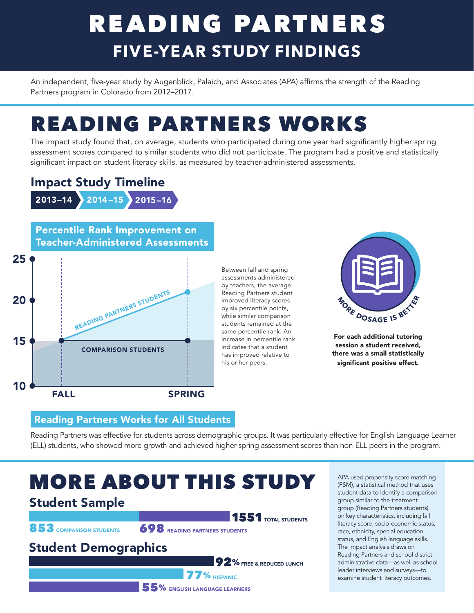# READING PARTNERS **FIVE-YEAR STUDY FINDINGS**

An independent, five-year study by Augenblick, Palaich, and Associates (APA) affirms the strength of the Reading Partners program in Colorado from 2012–2017.

# READING PARTNERS WORKS

The impact study found that, on average, students who participated during one year had significantly higher spring assessment scores compared to similar students who did not participate. The program had a positive and statistically significant impact on student literacy skills, as measured by teacher-administered assessments.

#### Impact Study Timeline

2013–14 2014 –15 2015–16

Percentile Rank Improvement on Teacher-Administered Assessments



Between fall and spring assessments administered by teachers, the average Reading Partners student improved literacy scores by six percentile points, while similar comparison students remained at the same percentile rank. An increase in percentile rank indicates that a student has improved relative to his or her peers.



For each additional tutoring session a student received, there was a small statistically significant positive effect.

#### Reading Partners Works for All Students

Reading Partners was effective for students across demographic groups. It was particularly effective for English Language Learner (ELL) students, who showed more growth and achieved higher spring assessment scores than non-ELL peers in the program.

## MORE ABOUT THIS STUDY

1551 TOTAL STUDENTS 853 COMPARISON STUDENTS 698 READING PARTNERS STUDENTS **92%** FREE & REDUCED LUNCH **77% HISPANIC** 55% ENGLISH LANGUAGE LEARNERS Student Sample Student Demographics

APA used propensity score matching (PSM), a statistical method that uses student data to identify a comparison group similar to the treatment group (Reading Partners students) on key characteristics, including fall literacy score, socio-economic status, race, ethnicity, special education status, and English language skills. The impact analysis draws on Reading Partners and school district administrative data—as well as school leader interviews and surveys—to examine student literacy outcomes.